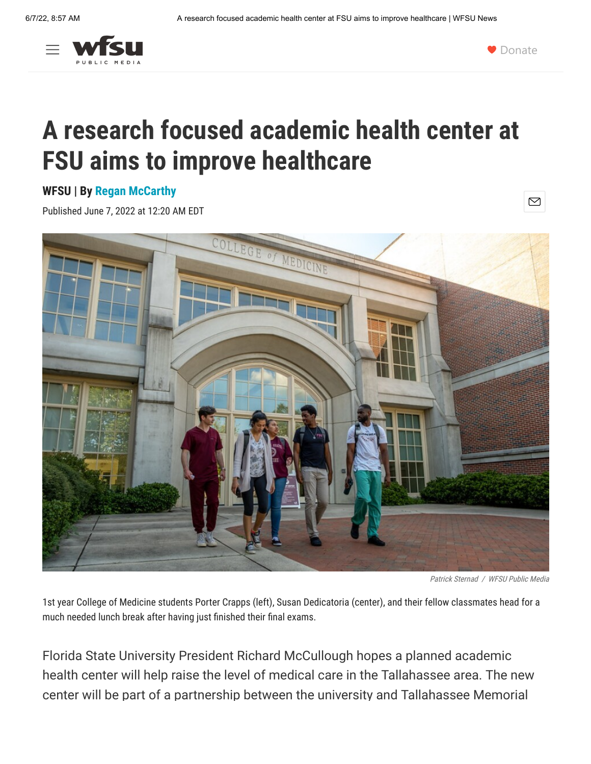



 $\boxtimes$ 

## **A research focused academic health center at FSU aims to improve healthcare**

## **WFSU | By [Regan McCarthy](https://news.wfsu.org/people/regan-mccarthy)**

Published June 7, 2022 at 12:20 AM EDT



Patrick Sternad / WFSU Public Media

1st year College of Medicine students Porter Crapps (left), Susan Dedicatoria (center), and their fellow classmates head for a much needed lunch break after having just finished their final exams.

Florida State University President Richard McCullough hopes a planned academic health center will help raise the level of medical care in the Tallahassee area. The new center will be part of a partnership between the university and Tallahassee Memorial